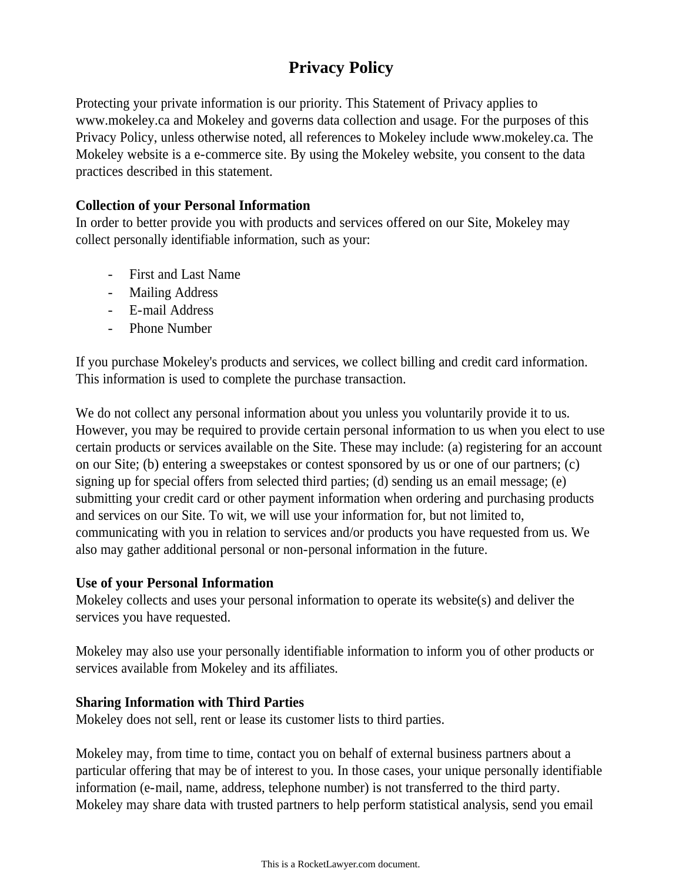# **Privacy Policy**

Protecting your private information is our priority. This Statement of Privacy applies to www.mokeley.ca and Mokeley and governs data collection and usage. For the purposes of this Privacy Policy, unless otherwise noted, all references to Mokeley include www.mokeley.ca. The Mokeley website is a e-commerce site. By using the Mokeley website, you consent to the data practices described in this statement.

# **Collection of your Personal Information**

In order to better provide you with products and services offered on our Site, Mokeley may collect personally identifiable information, such as your:

- First and Last Name
- Mailing Address
- E-mail Address
- Phone Number

If you purchase Mokeley's products and services, we collect billing and credit card information. This information is used to complete the purchase transaction.

We do not collect any personal information about you unless you voluntarily provide it to us. However, you may be required to provide certain personal information to us when you elect to use certain products or services available on the Site. These may include: (a) registering for an account on our Site; (b) entering a sweepstakes or contest sponsored by us or one of our partners; (c) signing up for special offers from selected third parties; (d) sending us an email message; (e) submitting your credit card or other payment information when ordering and purchasing products and services on our Site. To wit, we will use your information for, but not limited to, communicating with you in relation to services and/or products you have requested from us. We also may gather additional personal or non-personal information in the future.

# **Use of your Personal Information**

Mokeley collects and uses your personal information to operate its website(s) and deliver the services you have requested.

Mokeley may also use your personally identifiable information to inform you of other products or services available from Mokeley and its affiliates.

# **Sharing Information with Third Parties**

Mokeley does not sell, rent or lease its customer lists to third parties.

Mokeley may, from time to time, contact you on behalf of external business partners about a particular offering that may be of interest to you. In those cases, your unique personally identifiable information (e-mail, name, address, telephone number) is not transferred to the third party. Mokeley may share data with trusted partners to help perform statistical analysis, send you email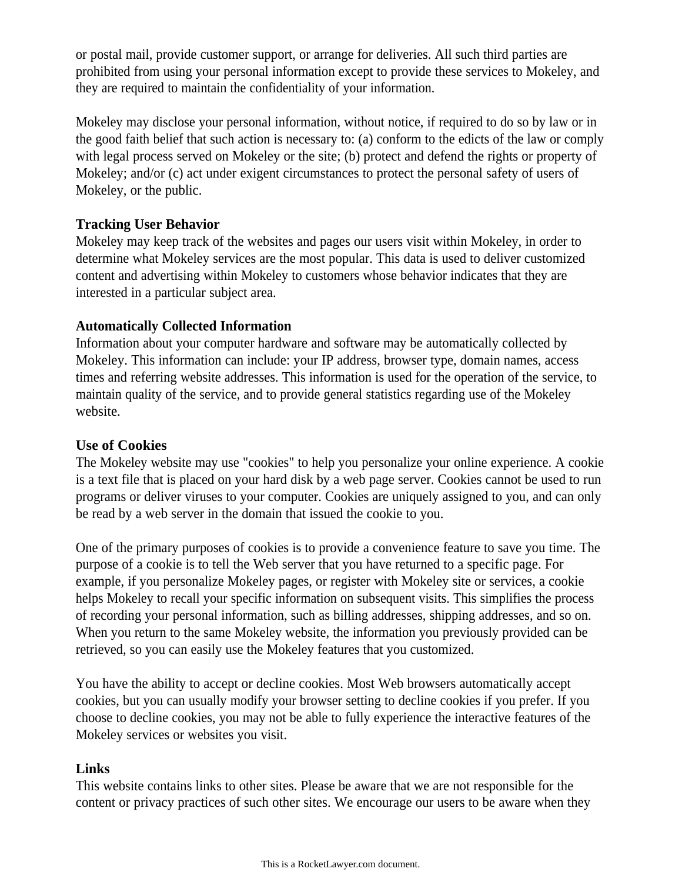or postal mail, provide customer support, or arrange for deliveries. All such third parties are prohibited from using your personal information except to provide these services to Mokeley, and they are required to maintain the confidentiality of your information.

Mokeley may disclose your personal information, without notice, if required to do so by law or in the good faith belief that such action is necessary to: (a) conform to the edicts of the law or comply with legal process served on Mokeley or the site; (b) protect and defend the rights or property of Mokeley; and/or (c) act under exigent circumstances to protect the personal safety of users of Mokeley, or the public.

# **Tracking User Behavior**

Mokeley may keep track of the websites and pages our users visit within Mokeley, in order to determine what Mokeley services are the most popular. This data is used to deliver customized content and advertising within Mokeley to customers whose behavior indicates that they are interested in a particular subject area.

# **Automatically Collected Information**

Information about your computer hardware and software may be automatically collected by Mokeley. This information can include: your IP address, browser type, domain names, access times and referring website addresses. This information is used for the operation of the service, to maintain quality of the service, and to provide general statistics regarding use of the Mokeley website.

# **Use of Cookies**

The Mokeley website may use "cookies" to help you personalize your online experience. A cookie is a text file that is placed on your hard disk by a web page server. Cookies cannot be used to run programs or deliver viruses to your computer. Cookies are uniquely assigned to you, and can only be read by a web server in the domain that issued the cookie to you.

One of the primary purposes of cookies is to provide a convenience feature to save you time. The purpose of a cookie is to tell the Web server that you have returned to a specific page. For example, if you personalize Mokeley pages, or register with Mokeley site or services, a cookie helps Mokeley to recall your specific information on subsequent visits. This simplifies the process of recording your personal information, such as billing addresses, shipping addresses, and so on. When you return to the same Mokeley website, the information you previously provided can be retrieved, so you can easily use the Mokeley features that you customized.

You have the ability to accept or decline cookies. Most Web browsers automatically accept cookies, but you can usually modify your browser setting to decline cookies if you prefer. If you choose to decline cookies, you may not be able to fully experience the interactive features of the Mokeley services or websites you visit.

# **Links**

This website contains links to other sites. Please be aware that we are not responsible for the content or privacy practices of such other sites. We encourage our users to be aware when they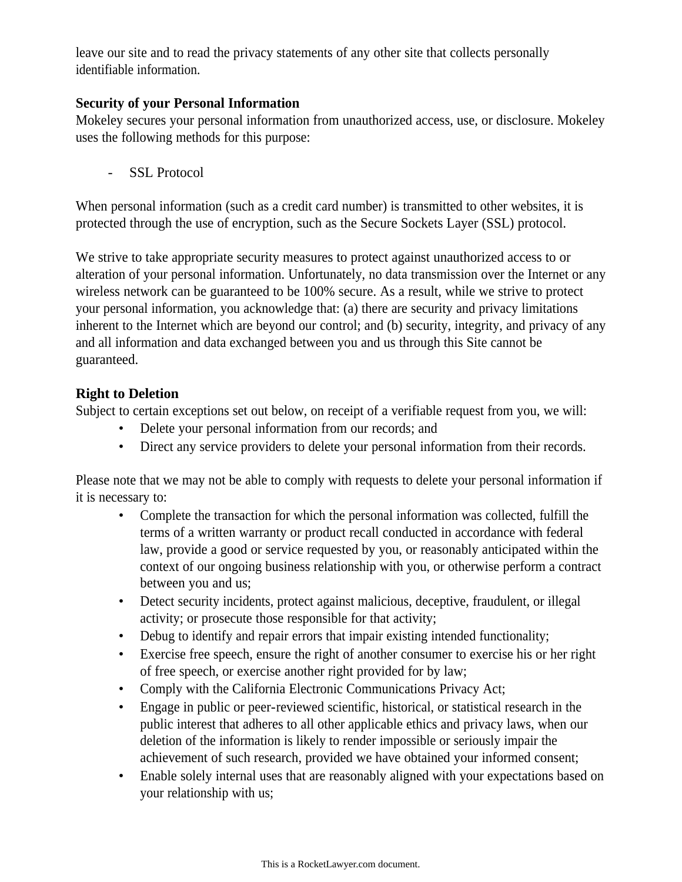leave our site and to read the privacy statements of any other site that collects personally identifiable information.

# **Security of your Personal Information**

Mokeley secures your personal information from unauthorized access, use, or disclosure. Mokeley uses the following methods for this purpose:

- SSL Protocol

When personal information (such as a credit card number) is transmitted to other websites, it is protected through the use of encryption, such as the Secure Sockets Layer (SSL) protocol.

We strive to take appropriate security measures to protect against unauthorized access to or alteration of your personal information. Unfortunately, no data transmission over the Internet or any wireless network can be guaranteed to be 100% secure. As a result, while we strive to protect your personal information, you acknowledge that: (a) there are security and privacy limitations inherent to the Internet which are beyond our control; and (b) security, integrity, and privacy of any and all information and data exchanged between you and us through this Site cannot be guaranteed.

# **Right to Deletion**

Subject to certain exceptions set out below, on receipt of a verifiable request from you, we will:

- Delete your personal information from our records; and
- Direct any service providers to delete your personal information from their records.

Please note that we may not be able to comply with requests to delete your personal information if it is necessary to:

- Complete the transaction for which the personal information was collected, fulfill the terms of a written warranty or product recall conducted in accordance with federal law, provide a good or service requested by you, or reasonably anticipated within the context of our ongoing business relationship with you, or otherwise perform a contract between you and us;
- Detect security incidents, protect against malicious, deceptive, fraudulent, or illegal activity; or prosecute those responsible for that activity;
- Debug to identify and repair errors that impair existing intended functionality;
- Exercise free speech, ensure the right of another consumer to exercise his or her right of free speech, or exercise another right provided for by law;
- Comply with the California Electronic Communications Privacy Act;
- Engage in public or peer-reviewed scientific, historical, or statistical research in the public interest that adheres to all other applicable ethics and privacy laws, when our deletion of the information is likely to render impossible or seriously impair the achievement of such research, provided we have obtained your informed consent;
- Enable solely internal uses that are reasonably aligned with your expectations based on your relationship with us;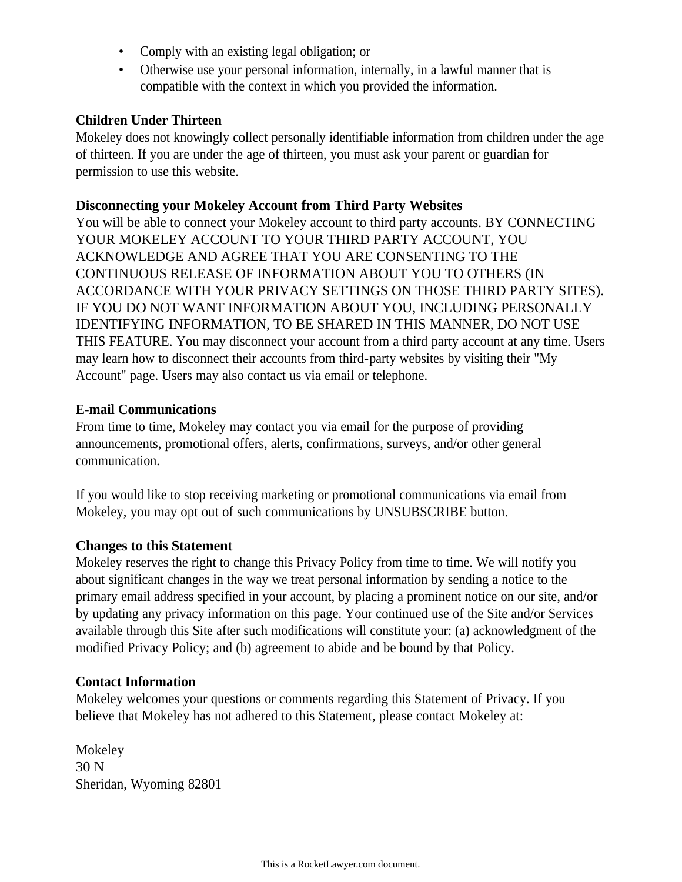- Comply with an existing legal obligation; or
- Otherwise use your personal information, internally, in a lawful manner that is compatible with the context in which you provided the information.

#### **Children Under Thirteen**

Mokeley does not knowingly collect personally identifiable information from children under the age of thirteen. If you are under the age of thirteen, you must ask your parent or guardian for permission to use this website.

### **Disconnecting your Mokeley Account from Third Party Websites**

You will be able to connect your Mokeley account to third party accounts. BY CONNECTING YOUR MOKELEY ACCOUNT TO YOUR THIRD PARTY ACCOUNT, YOU ACKNOWLEDGE AND AGREE THAT YOU ARE CONSENTING TO THE CONTINUOUS RELEASE OF INFORMATION ABOUT YOU TO OTHERS (IN ACCORDANCE WITH YOUR PRIVACY SETTINGS ON THOSE THIRD PARTY SITES). IF YOU DO NOT WANT INFORMATION ABOUT YOU, INCLUDING PERSONALLY IDENTIFYING INFORMATION, TO BE SHARED IN THIS MANNER, DO NOT USE THIS FEATURE. You may disconnect your account from a third party account at any time. Users may learn how to disconnect their accounts from third-party websites by visiting their "My Account" page. Users may also contact us via email or telephone.

### **E-mail Communications**

From time to time, Mokeley may contact you via email for the purpose of providing announcements, promotional offers, alerts, confirmations, surveys, and/or other general communication.

If you would like to stop receiving marketing or promotional communications via email from Mokeley, you may opt out of such communications by UNSUBSCRIBE button.

#### **Changes to this Statement**

Mokeley reserves the right to change this Privacy Policy from time to time. We will notify you about significant changes in the way we treat personal information by sending a notice to the primary email address specified in your account, by placing a prominent notice on our site, and/or by updating any privacy information on this page. Your continued use of the Site and/or Services available through this Site after such modifications will constitute your: (a) acknowledgment of the modified Privacy Policy; and (b) agreement to abide and be bound by that Policy.

#### **Contact Information**

Mokeley welcomes your questions or comments regarding this Statement of Privacy. If you believe that Mokeley has not adhered to this Statement, please contact Mokeley at:

Mokeley 30 N Sheridan, Wyoming 82801